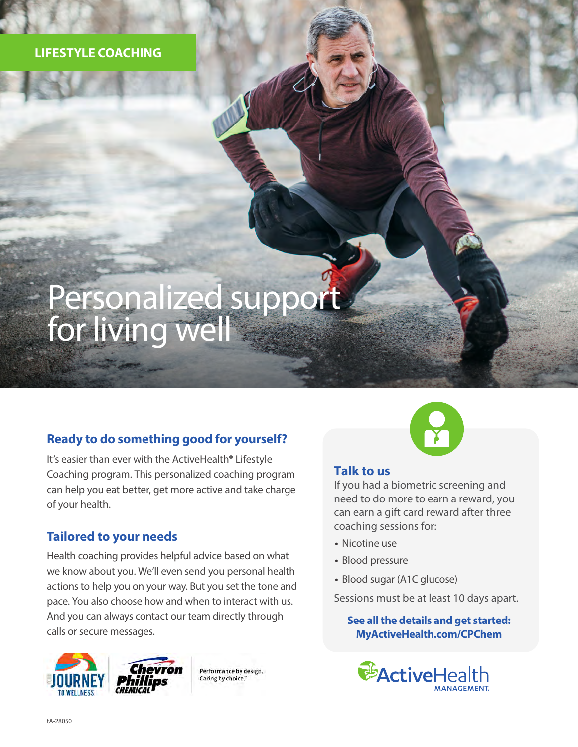### **LIFESTYLE COACHING**

# Personalized support for living well

## **Ready to do something good for yourself?**

It's easier than ever with the ActiveHealth® Lifestyle Coaching program. This personalized coaching program can help you eat better, get more active and take charge of your health.

#### **Tailored to your needs**

Health coaching provides helpful advice based on what we know about you. We'll even send you personal health actions to help you on your way. But you set the tone and pace. You also choose how and when to interact with us. And you can always contact our team directly through calls or secure messages.



Performance by design. Caring by choice."



#### **Talk to us**

If you had a biometric screening and need to do more to earn a reward, you can earn a gift card reward after three coaching sessions for:

- **•** Nicotine use
- **•** Blood pressure
- **•** Blood sugar (A1C glucose)

Sessions must be at least 10 days apart.

**See all the details and get started: [MyActiveHealth.com/CPChem](http://MyActiveHealth.com/CPChem)**